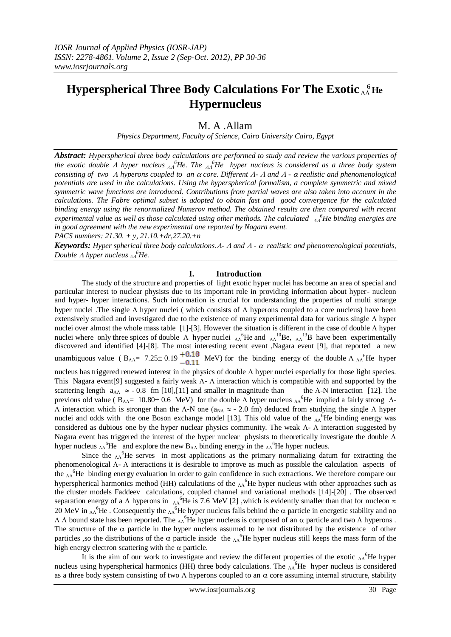# **Hyperspherical Three Body Calculations For The Exotic**  $\Lambda\Lambda$  **He Hypernucleus**

# M. A .Allam

*Physics Department, Faculty of Science, Cairo University Cairo, Egypt*

*Abstract: Hyperspherical three body calculations are performed to study and review the various properties of*  the exotic double A hyper nucleus  $\Lambda^6$ He. The  $\Lambda^6$ He hyper nucleus is considered as a three body system *consisting of two A hyperons coupled to an*  $\alpha$  *core. Different A- A and A -*  $\alpha$  *realistic and phenomenological potentials are used in the calculations. Using the hyperspherical formalism, a complete symmetric and mixed symmetric wave functions are introduced. Contributions from partial waves are also taken into account in the calculations. The Fabre optimal subset is adopted to obtain fast and good convergence for the calculated binding energy using the renormalized Numerov method. The obtained results are then compared with recent*  experimental value as well as those calculated using other methods. The calculated  $\Lambda_A^6$ He binding energies are *in good agreement with the new experimental one reported by Nagara event.*

*PACS numbers: 21.30. + y, 21.10.+dr,27.20.+n*

*Keywords: Hyper spherical three body calculations.*  $A$ -  $A$  *and*  $A$ -  $\alpha$  *realistic and phenomenological potentials, Double A hyper nucleus*  $_{AA}^{6}$ *He.* 

### **I. Introduction**

The study of the structure and properties of light exotic hyper nuclei has become an area of special and particular interest to nuclear physists due to its important role in providing information about hyper- nucleon and hyper- hyper interactions. Such information is crucial for understanding the properties of multi strange hyper nuclei .The single  $\Lambda$  hyper nuclei ( which consists of  $\Lambda$  hyperons coupled to a core nucleus) have been extensively studied and investigated due to the existence of many experimental data for various single  $\Lambda$  hyper nuclei over almost the whole mass table [1]-[3]. However the situation is different in the case of double  $\Lambda$  hyper nuclei where only three spices of double  $\Lambda$  hyper nuclei  $\Lambda$ <sup>6</sup>He and  $\Lambda$ <sup>10</sup>Be,  $\Lambda$ <sup>13</sup>B have been experimentally discovered and identified [4]-[8]. The most interesting recent event ,Nagara event [9], that reported a new unambiguous value ( $B_{AA} = 7.25 \pm 0.19 \frac{+0.18}{0.11}$  MeV) for the binding energy of the double  $\Lambda_{AA}$ <sup>6</sup>He hyper nucleus has triggered renewed interest in the physics of double  $\Lambda$  hyper nuclei especially for those light species. This Nagara event[9] suggested a fairly weak  $\Lambda$ -  $\Lambda$  interaction which is compatible with and supported by the scattering length  $a_{\Lambda\Lambda} \approx -0.8$  fm [10],[11] and smaller in magnitude than the  $\Lambda$ -N interaction [12]. The previous old value ( $B_{\Lambda\Lambda}$ = 10.80 ± 0.6 MeV) for the double  $\Lambda$  hyper nucleus  $\Lambda$ <sup>6</sup>He implied a fairly strong  $\Lambda$ - $\Lambda$  interaction which is stronger than the  $\Lambda$ -N one (a<sub>NA</sub>  $\approx$  - 2.0 fm) deduced from studying the single  $\Lambda$  hyper nuclei and odds with the one Boson exchange model [13]. This old value of the  $\Lambda$ <sup>6</sup>He binding energy was considered as dubious one by the hyper nuclear physics community. The weak  $\Lambda$ -  $\Lambda$  interaction suggested by Nagara event has triggered the interest of the hyper nuclear physists to theoretically investigate the double  $\Lambda$ hyper nucleus  $\Lambda$ <sup>6</sup>He and explore the new  $B_{\Lambda\Lambda}$  binding energy in the  $\Lambda$ <sup>6</sup>He hyper nucleus.

Since the  $\Lambda\Lambda$ <sup>6</sup>He serves in most applications as the primary normalizing datum for extracting the phenomenological  $\Lambda$ -  $\Lambda$  interactions it is desirable to improve as much as possible the calculation aspects of the  $\Lambda$ <sup>6</sup>He binding energy evaluation in order to gain confidence in such extractions. We therefore compare our hyperspherical harmonics method (HH) calculations of the  $_{AA}$ <sup>6</sup>He hyper nucleus with other approaches such as the cluster models Faddeev calculations, coupled channel and variational methods [14]-[20] . The observed separation energy of a  $\Lambda$  hyperons in  $\Lambda$ <sup>6</sup>He is 7.6 MeV [2] ,which is evidently smaller than that for nucleon  $\approx$ 20 MeV in  $_{AA}$ <sup>6</sup>He. Consequently the  $_{AA}$ <sup>6</sup>He hyper nucleus falls behind the  $\alpha$  particle in energetic stability and no  $\Lambda$   $\Lambda$  bound state has been reported. The  $\Lambda^6$ He hyper nucleus is composed of an  $\alpha$  particle and two  $\Lambda$  hyperons. The structure of the  $\alpha$  particle in the hyper nucleus assumed to be not distributed by the existence of other particles , so the distributions of the  $\alpha$  particle inside the  $\Lambda$ <sup>6</sup>He hyper nucleus still keeps the mass form of the high energy electron scattering with the  $\alpha$  particle.

It is the aim of our work to investigate and review the different properties of the exotic  $\Lambda\Lambda^6$ He hyper nucleus using hyperspherical harmonics (HH) three body calculations. The  $\Lambda\Lambda^6$ He hyper nucleus is considered as a three body system consisting of two  $\Lambda$  hyperons coupled to an  $\alpha$  core assuming internal structure, stability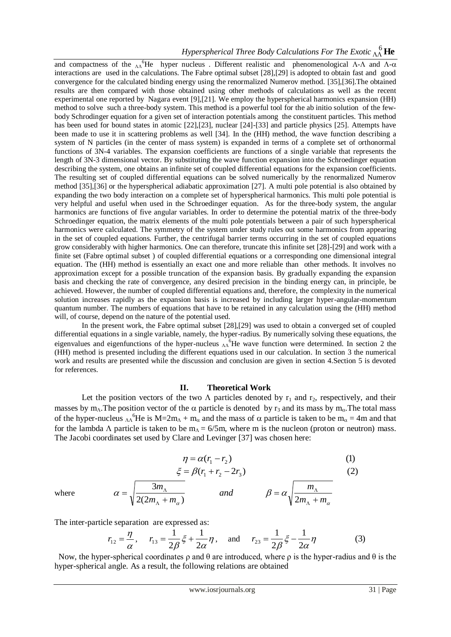and compactness of the  $\Lambda$ <sup>6</sup>He hyper nucleus. Different realistic and phenomenological  $\Lambda$ - $\Lambda$  and  $\Lambda$ - $\alpha$ interactions are used in the calculations. The Fabre optimal subset [28],[29] is adopted to obtain fast and good convergence for the calculated binding energy using the renormalized Numerov method. [35],[36].The obtained results are then compared with those obtained using other methods of calculations as well as the recent experimental one reported by Nagara event [9],[21]. We employ the hyperspherical harmonics expansion (HH) method to solve such a three-body system. This method is a powerful tool for the ab initio solution of the fewbody Schrodinger equation for a given set of interaction potentials among the constituent particles. This method has been used for bound states in atomic [22],[23], nuclear [24]-[33] and particle physics [25]. Attempts have been made to use it in scattering problems as well [34]. In the (HH) method, the wave function describing a system of N particles (in the center of mass system) is expanded in terms of a complete set of orthonormal functions of 3N-4 variables. The expansion coefficients are functions of a single variable that represents the length of 3N-3 dimensional vector. By substituting the wave function expansion into the Schroedinger equation describing the system, one obtains an infinite set of coupled differential equations for the expansion coefficients. The resulting set of coupled differential equations can be solved numerically by the renormalized Numerov method [35],[36] or the hyperspherical adiabatic approximation [27]. A multi pole potential is also obtained by expanding the two body interaction on a complete set of hyperspherical harmonics. This multi pole potential is very helpful and useful when used in the Schroedinger equation. As for the three-body system, the angular harmonics are functions of five angular variables. In order to determine the potential matrix of the three-body Schroedinger equation, the matrix elements of the multi pole potentials between a pair of such hyperspherical harmonics were calculated. The symmetry of the system under study rules out some harmonics from appearing in the set of coupled equations. Further, the centrifugal barrier terms occurring in the set of coupled equations grow considerably with higher harmonics. One can therefore, truncate this infinite set [28]-[29] and work with a finite set (Fabre optimal subset ) of coupled differential equations or a corresponding one dimensional integral equation. The (HH) method is essentially an exact one and more reliable than other methods. It involves no approximation except for a possible truncation of the expansion basis. By gradually expanding the expansion basis and checking the rate of convergence, any desired precision in the binding energy can, in principle, be achieved. However, the number of coupled differential equations and, therefore, the complexity in the numerical solution increases rapidly as the expansion basis is increased by including larger hyper-angular-momentum quantum number. The numbers of equations that have to be retained in any calculation using the (HH) method will, of course, depend on the nature of the potential used.

In the present work, the Fabre optimal subset [28],[29] was used to obtain a converged set of coupled differential equations in a single variable, namely, the hyper-radius. By numerically solving these equations, the eigenvalues and eigenfunctions of the hyper-nucleus  $\Lambda$ <sup>6</sup>He wave function were determined. In section 2 the (HH) method is presented including the different equations used in our calculation. In section 3 the numerical work and results are presented while the discussion and conclusion are given in section 4.Section 5 is devoted for references.

#### **II. Theoretical Work**

Let the position vectors of the two  $\Lambda$  particles denoted by  $r_1$  and  $r_2$ , respectively, and their masses by  $m_A$ . The position vector of the  $\alpha$  particle is denoted by  $r_3$  and its mass by  $m_\alpha$ . The total mass of the hyper-nucleus  $\Lambda\Lambda^6$ He is M=2m $\Lambda$  + m<sub>α</sub> and the mass of  $\alpha$  particle is taken to be m<sub>α</sub> = 4m and that for the lambda  $\Lambda$  particle is taken to be  $m_A = 6/5m$ , where m is the nucleon (proton or neutron) mass. The Jacobi coordinates set used by Clare and Levinger [37] was chosen here:

$$
\eta = \alpha(r_1 - r_2) \tag{1}
$$

$$
\xi = \beta(r_1 + r_2 - 2r_3)
$$
 (2)

where

 $\alpha'$   $\alpha''$  $\alpha = \sqrt{\frac{2m_A}{\sigma^2}}$  and  $\beta = \alpha$  $m_{\scriptscriptstyle\wedge}$  +  $m$ *m and*  $m_{\scriptscriptstyle\wedge}$  +  $m$ *m*  $^{+}$  $=$  $\overline{+}$  $=$  $\Lambda$  $\Lambda$ Λ  $\Lambda$  $2(2m_{\scriptscriptstyle\wedge} + m_{\scriptscriptstyle\alpha})$  and  $\qquad \qquad \mu$  and  $\qquad \qquad \sqrt{2}$ 3

The inter-particle separation are expressed as:

$$
r_{12} = \frac{\eta}{\alpha}, \quad r_{13} = \frac{1}{2\beta}\xi + \frac{1}{2\alpha}\eta, \text{ and } r_{23} = \frac{1}{2\beta}\xi - \frac{1}{2\alpha}\eta
$$
 (3)

Now, the hyper-spherical coordinates  $ρ$  and  $θ$  are introduced, where  $ρ$  is the hyper-radius and  $θ$  is the hyper-spherical angle. As a result, the following relations are obtained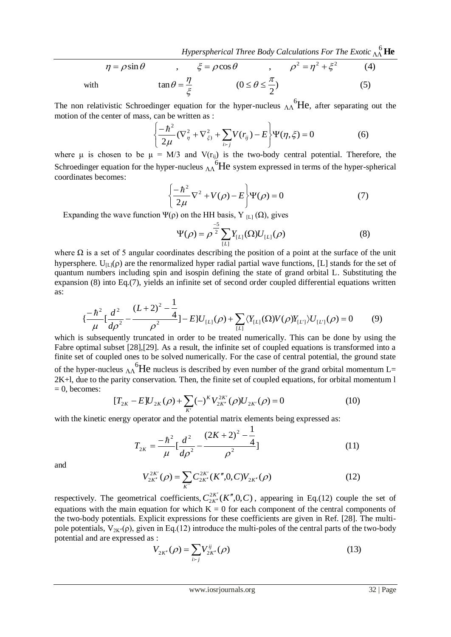Hyperspherical Three Body Calculations For The Exotic  $\Lambda\Lambda^6$  **He** 

$$
\eta = \rho \sin \theta \qquad , \qquad \xi = \rho \cos \theta \qquad , \qquad \rho^2 = \eta^2 + \xi^2 \qquad (4)
$$
  
with 
$$
\tan \theta = \frac{\eta}{\xi} \qquad (0 \le \theta \le \frac{\pi}{2}) \qquad (5)
$$

The non relativistic Schroedinger equation for the hyper-nucleus  $\Lambda$ <sup>6</sup>He, after separating out the motion of the center of mass, can be written as :

$$
\left\{\frac{-\hbar^2}{2\mu}(\nabla^2_{\eta} + \nabla^2_{\xi}) + \sum_{i \succ j} V(r_{ij}) - E\right\} \Psi(\eta, \xi) = 0 \tag{6}
$$

where  $\mu$  is chosen to be  $\mu = M/3$  and  $V(r_{ij})$  is the two-body central potential. Therefore, the Schroedinger equation for the hyper-nucleus  $\Lambda_0$ <sup>6</sup>He system expressed in terms of the hyper-spherical coordinates becomes:

$$
\left\{\frac{-\hbar^2}{2\mu}\nabla^2 + V(\rho) - E\right\}\Psi(\rho) = 0\tag{7}
$$

Expanding the wave function  $\Psi(\rho)$  on the HH basis, Y <sub>[L]</sub> ( $\Omega$ ), gives

$$
\Psi(\rho) = \rho^{\frac{-5}{2}} \sum_{[L]} Y_{[L]}(\Omega) U_{[L]}(\rho)
$$
 (8)

where  $\Omega$  is a set of 5 angular coordinates describing the position of a point at the surface of the unit hypersphere.  $U_{[L]}(\rho)$  are the renormalized hyper radial partial wave functions, [L] stands for the set of quantum numbers including spin and isospin defining the state of grand orbital L. Substituting the expansion (8) into Eq.(7), yields an infinite set of second order coupled differential equations written as:

$$
\{\frac{-\hbar^2}{\mu} \left[ \frac{d^2}{d\rho^2} - \frac{(L+2)^2 - \frac{1}{4}}{\rho^2} \right] - E\} U_{[L]}(\rho) + \sum_{[L]} \langle Y_{[L]}(\Omega) V(\rho) Y_{[L']}\rangle U_{[L']}(\rho) = 0 \tag{9}
$$

which is subsequently truncated in order to be treated numerically. This can be done by using the Fabre optimal subset [28],[29]. As a result, the infinite set of coupled equations is transformed into a finite set of coupled ones to be solved numerically. For the case of central potential, the ground state of the hyper-nucleus  $_{\Lambda\Lambda}^{6}$ He nucleus is described by even number of the grand orbital momentum L= 2K+l, due to the parity conservation. Then, the finite set of coupled equations, for orbital momentum l  $= 0$ , becomes:

$$
[T_{2K} - E]U_{2K}(\rho) + \sum_{K'} (-)^{K} V_{2K'}^{2K'}(\rho)U_{2K'}(\rho) = 0
$$
\n(10)

with the kinetic energy operator and the potential matrix elements being expressed as:

$$
T_{2K} = \frac{-\hbar^2}{\mu} \left[ \frac{d^2}{d\rho^2} - \frac{(2K+2)^2 - \frac{1}{4}}{\rho^2} \right]
$$
 (11)

and

$$
V_{2K'}^{2K'}(\rho) = \sum_{K} C_{2K'}^{2K'}(K'',0,C) V_{2K'}(\rho)
$$
 (12)

respectively. The geometrical coefficients,  $C_{2K'}^{2K'}(K'',0,C)$  $\frac{d}{K''}(K''$  $\mathcal{L}_n(K'',0,C)$ , appearing in Eq.(12) couple the set of equations with the main equation for which  $K = 0$  for each component of the central components of the two-body potentials. Explicit expressions for these coefficients are given in Ref. [28]. The multipole potentials,  $V_{2K''}(\rho)$ , given in Eq.(12) introduce the multi-poles of the central parts of the two-body potential and are expressed as :

$$
V_{2K'}(\rho) = \sum_{i>j} V_{2K'}^{ij}(\rho)
$$
\n(13)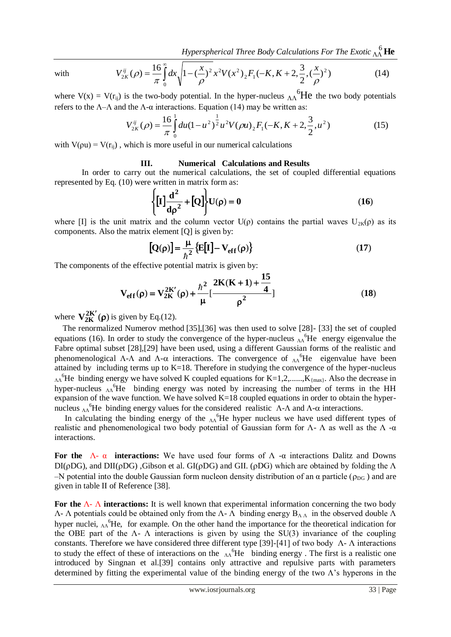Hyperspherical Three Body Calculations For The Exotic  $\Lambda\Lambda^6$  **He** 

with

$$
V_{2K}^{ij}(\rho) = \frac{16}{\pi} \int_{0}^{\infty} dx \sqrt{1 - \left(\frac{x}{\rho}\right)^2} x^2 V(x^2) {12 F_1(-K, K + 2, \frac{3}{2}, (\frac{x}{\rho})^2)}
$$
(14)

where  $V(x) = V(r_{ij})$  is the two-body potential. In the hyper-nucleus  $\Lambda \Lambda^6$ He the two body potentials refers to the  $\Lambda$ - $\Lambda$  and the  $\Lambda$ - $\alpha$  interactions. Equation (14) may be written as:

$$
V_{2K}^{ij}(\rho) = \frac{16}{\pi} \int_{0}^{1} du (1 - u^2)^{\frac{1}{2}} u^2 V(\rho u) {_{2}F_1(-K, K + 2, \frac{3}{2}, u^2)}
$$
 (15)

with  $V(\rho u) = V(r_{ii})$ , which is more useful in our numerical calculations

### **III. Numerical Calculations and Results**

In order to carry out the numerical calculations, the set of coupled differential equations represented by Eq. (10) were written in matrix form as:

$$
\left\{ \left[ I \right] \frac{d^2}{d\rho^2} + \left[ Q \right] \right\} U(\rho) = 0 \tag{16}
$$

where [I] is the unit matrix and the column vector  $U(\rho)$  contains the partial waves  $U_{2K}(\rho)$  as its components. Also the matrix element [Q] is given by:

$$
\left[\mathbf{Q}(\rho)\right] = \frac{\mu}{\hbar^2} \left\{ \mathbf{E}[\mathbf{I}] - \mathbf{V}_{\rm eff}(\rho) \right\} \tag{17}
$$

The components of the effective potential matrix is given by:

$$
V_{eff}(\rho) = V_{2K}^{2K'}(\rho) + \frac{\hbar^2}{\mu} \left[ \frac{2K(K+1) + \frac{15}{4}}{\rho^2} \right]
$$
(18)

where  $V_{2K}^{2K'}(\rho)$  is given by Eq.(12).

 The renormalized Numerov method [35],[36] was then used to solve [28]- [33] the set of coupled equations (16). In order to study the convergence of the hyper-nucleus  $\Lambda\Lambda$ <sup>6</sup>He energy eigenvalue the Fabre optimal subset [28],[29] have been used, using a different Gaussian forms of the realistic and phenomenological  $\Lambda$ - $\Lambda$  and  $\Lambda$ - $\alpha$  interactions. The convergence of  $\Lambda$ <sup>6</sup>He eigenvalue have been attained by including terms up to  $K=18$ . Therefore in studying the convergence of the hyper-nucleus  $_{AA}$ <sup>6</sup>He binding energy we have solved K coupled equations for K=1,2,......,K<sub>{max}</sub>. Also the decrease in hyper-nucleus  $\Lambda$ <sup>6</sup>He binding energy was noted by increasing the number of terms in the HH expansion of the wave function. We have solved  $K=18$  coupled equations in order to obtain the hypernucleus  $\Lambda$ <sup>6</sup>He binding energy values for the considered realistic  $\Lambda$ - $\Lambda$  and  $\Lambda$ - $\alpha$  interactions.

In calculating the binding energy of the  $\Lambda$ <sup>6</sup>He hyper nucleus we have used different types of realistic and phenomenological two body potential of Gaussian form for  $Λ$ -  $Λ$  as well as the  $Λ$ -α interactions.

**For the** Λ- α **interactions:** We have used four forms of Λ -α interactions Dalitz and Downs DI( $\rho$ DG), and DII( $\rho$ DG), Gibson et al. GI( $\rho$ DG) and GII. ( $\rho$ DG) which are obtained by folding the  $\Lambda$ –N potential into the double Gaussian form nucleon density distribution of an  $\alpha$  particle ( $\rho_{DG}$ ) and are given in table II of Reference [38].

**For the** Λ- Λ **interactions:** It is well known that experimental information concerning the two body  $Λ$ - Λ potentials could be obtained only from the Λ- Λ binding energy  $B_{ΛΛ}$  in the observed double Λ hyper nuclei,  $_{\Lambda\Lambda}$ <sup>6</sup>He, for example. On the other hand the importance for the theoretical indication for the OBE part of the  $\Lambda$ -  $\Lambda$  interactions is given by using the SU(3) invariance of the coupling constants. Therefore we have considered three different type [39]-[41] of two body Λ- Λ interactions to study the effect of these of interactions on the  $\Lambda$ <sup>6</sup>He binding energy. The first is a realistic one introduced by Singnan et al.[39] contains only attractive and repulsive parts with parameters determined by fitting the experimental value of the binding energy of the two  $\Lambda$ 's hyperons in the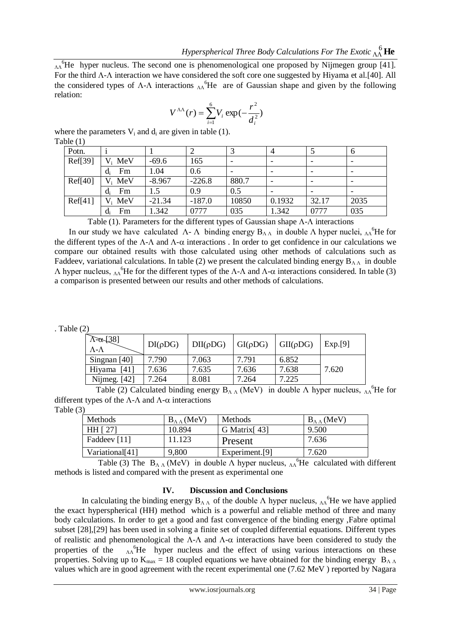$_{AA}$ <sup>6</sup>He hyper nucleus. The second one is phenomenological one proposed by Nijmegen group [41]. For the third  $\Lambda$ - $\Lambda$  interaction we have considered the soft core one suggested by Hiyama et al.[40]. All the considered types of  $\Lambda$ - $\Lambda$  interactions  $\Lambda$ <sup>6</sup>He are of Gaussian shape and given by the following relation:

$$
V^{\Lambda\Lambda}(r) = \sum_{i=1}^{6} V_i \exp(-\frac{r^2}{d_i^2})
$$

where the parameters  $V_i$  and  $d_i$  are given in table (1). Table (1)

| Potn.   |             |          | ∸        |                          | 4      |       | $\mathfrak b$            |
|---------|-------------|----------|----------|--------------------------|--------|-------|--------------------------|
| Ref[39] | $V_i$ MeV   | $-69.6$  | 165      | $\overline{\phantom{0}}$ |        |       | $\overline{\phantom{a}}$ |
|         | Fm<br>$d_i$ | 1.04     | 0.6      |                          |        |       |                          |
| Ref[40] | $V_i$ MeV   | $-8.967$ | $-226.8$ | 880.7                    |        |       |                          |
|         | Fm<br>$d_i$ | 1.5      | 0.9      | 0.5                      |        |       |                          |
| Ref[41] | $V_i$ MeV   | $-21.34$ | $-187.0$ | 10850                    | 0.1932 | 32.17 | 2035                     |
|         | Fm<br>$d_i$ | 1.342    | 0777     | 035                      | 1.342  | 0777  | 035                      |

Table (1). Parameters for the different types of Gaussian shape  $\Lambda$ - $\Lambda$  interactions

In our study we have calculated  $\Lambda$ -  $\Lambda$  binding energy  $B_{\Lambda \Lambda}$  in double  $\Lambda$  hyper nuclei,  $\Lambda$ <sup>6</sup>He for the different types of the  $\Lambda$ - $\Lambda$  and  $\Lambda$ - $\alpha$  interactions. In order to get confidence in our calculations we compare our obtained results with those calculated using other methods of calculations such as Faddeev, variational calculations. In table (2) we present the calculated binding energy  $B_{\Lambda\Lambda}$  in double  $Λ$  hyper nucleus,  $Λ<sup>6</sup>$ He for the different types of the Λ-Λ and Λ-α interactions considered. In table (3) a comparison is presented between our results and other methods of calculations.

. Table (2)

| $\Lambda$ - $\alpha$ [38]<br>$\Lambda$ - $\Lambda$ | $DI(\rho DG)$ | $DII(\rho DG)$ | $GI(\rho DG)$ | $GII(\rho DG)$ | Exp.[9] |
|----------------------------------------------------|---------------|----------------|---------------|----------------|---------|
| Singnan [40]                                       | 7.790         | 7.063          | 7.791         | 6.852          |         |
| Hiyama [41]                                        | 7.636         | 7.635          | 7.636         | 7.638          | 7.620   |
| Nijmeg. $[42]$                                     | 7.264         | 8.081          | 7.264         | 7.225          |         |

Table (2) Calculated binding energy  $B_{\Lambda \Lambda}$  (MeV) in double  $\Lambda$  hyper nucleus,  $\Lambda^6$ He for different types of the  $\Lambda$ - $\Lambda$  and  $\Lambda$ - $\alpha$  interactions

Table (3)

| <b>Methods</b>              | $B_{\Lambda\Lambda}$ (MeV) | <b>Methods</b>           | $B_{\Lambda\Lambda}$ (MeV) |
|-----------------------------|----------------------------|--------------------------|----------------------------|
| HH [ 27]                    | 10.894                     | G Matrix <sup>[43]</sup> | 9.500                      |
| Faddeev [11]                | 11.123                     | Present                  | 7.636                      |
| Variational <sup>[41]</sup> | 9,800                      | Experiment.[9]           | 7.620                      |

Table (3) The  $B_{\Lambda \Lambda}$  (MeV) in double  $\Lambda$  hyper nucleus,  $\Lambda$ <sup>6</sup>He calculated with different methods is listed and compared with the present as experimental one

## **IV. Discussion and Conclusions**

In calculating the binding energy  $B_{\Lambda \Lambda}$  of the double  $\Lambda$  hyper nucleus,  $\Lambda \Lambda$ <sup>6</sup>He we have applied the exact hyperspherical (HH) method which is a powerful and reliable method of three and many body calculations. In order to get a good and fast convergence of the binding energy ,Fabre optimal subset [28],[29] has been used in solving a finite set of coupled differential equations. Different types of realistic and phenomenological the  $\Lambda$ - $\Lambda$  and  $\Lambda$ - $\alpha$  interactions have been considered to study the properties of the  $h_A$ <sup>6</sup>He hyper nucleus and the effect of using various interactions on these properties. Solving up to  $K_{max} = 18$  coupled equations we have obtained for the binding energy  $B_{\Lambda}$  Λ values which are in good agreement with the recent experimental one (7.62 MeV ) reported by Nagara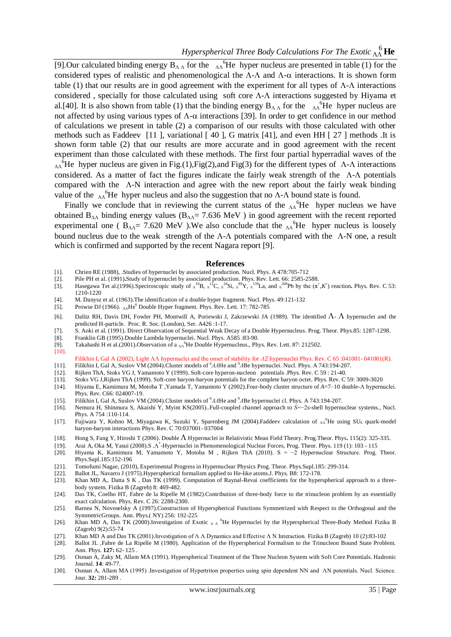[9].Our calculated binding energy  $B_{\Lambda}$  for the  $\Lambda$ <sup>6</sup>He hyper nucleus are presented in table (1) for the considered types of realistic and phenomenological the  $\Lambda$ - $\Lambda$  and  $\Lambda$ - $\alpha$  interactions. It is shown form table (1) that our results are in good agreement with the experiment for all types of  $\Lambda$ - $\Lambda$  interactions considered, specially for those calculated using soft core  $\Lambda$ - $\Lambda$  interactions suggested by Hiyama et al.[40]. It is also shown from table (1) that the binding energy  $B_{\Lambda}$  for the  $\Lambda$ <sup>6</sup>He hyper nucleus are not affected by using various types of  $\Lambda$ - $\alpha$  interactions [39]. In order to get confidence in our method of calculations we present in table (2) a comparison of our results with those calculated with other methods such as Faddeev [11 ], variational [ 40 ], G matrix [41], and even HH [ 27 ] methods .It is shown form table (2) that our results are more accurate and in good agreement with the recent experiment than those calculated with these methods. The first four partial hyperradial waves of the  $_{\Lambda\Lambda}$ <sup>6</sup>He hyper nucleus are given in Fig.(1), Fig(2), and Fig(3) for the different types of  $\Lambda$ - $\Lambda$  interactions considered. As a matter of fact the figures indicate the fairly weak strength of the  $\Lambda$ - $\Lambda$  potentials compared with the  $A-N$  interaction and agree with the new report about the fairly weak binding value of the  $\Lambda$ <sup>6</sup>He hyper nucleus and also the suggestion that no  $\Lambda$ - $\Lambda$  bound state is found.

Finally we conclude that in reviewing the current status of the  $\Lambda\Lambda$ <sup>6</sup>He hyper nucleus we have obtained  $B_{\Lambda\Lambda}$  binding energy values ( $B_{\Lambda\Lambda}$ = 7.636 MeV) in good agreement with the recent reported experimental one ( $B_{AA} = 7.620$  MeV). We also conclude that the  $A_A^6$ He hyper nucleus is loosely bound nucleus due to the weak strength of the  $\Lambda$ - $\Lambda$  potentials compared with the  $\Lambda$ -N one, a result which is confirmed and supported by the recent Nagara report [9].

#### **References**

- [1]. Chrien RE (1988), .Studies of hypernuclei by associated production. Nucl. Phys. A 478:705-712
- Pile PH et al. (1991).[Study of hypernuclei by associated production.](http://prl.aps.org/abstract/PRL/v66/i20/p2585_1) Phys. Rev. Lett. 66: 2585-2588.
- [3]. Hasegawa Tet al.(1996[\).Spectroscopic study of](http://prc.aps.org/abstract/PRC/v53/i3/p1210_1)  $\Lambda^{10}$ B,  $\Lambda^{12}$ C,  $\Lambda^{28}$ Si,  $\Lambda^{89}$ Y,  $\Lambda^{13}$ La, and  $\Lambda^{208}$ Pb by the (π<sup>+</sup>,K<sup>+</sup>) reaction. Phys. Rev. C 53: 1210-1220
- [4]. M. Danysz et al. (1963).The identification of a double hyper fragment. Nucl. Phys. 49:121-132
- [5]. Prowse DJ (1966).  $\Lambda\Lambda$ He<sup>6</sup> Double Hyper fragment. Phys. Rev. Lett. 17: 782-785
- [6]. Dalitz RH, Davis DH, Fowler PH, Montwill A, Poriewski J, Zakrzewski JA (1989). The identified  $\Lambda$   $\Lambda$  hypernuclei and the predicted H-particle. Proc. R. Soc. (London), Ser. A426 :1-17.
- [7]. S. Aoki et al. (1991). [Direct Observation of Sequential Weak Decay of a Double Hypernucleus.](http://ptp.ipap.jp/cgi-bin/getarticle?magazine=PTP&volume=85&number=6&page=1287-1298) Prog. Theor. Phys.85: 1287-1298.
- [8]. Franklin GB (1995[\).Double Lambda hypernuclei.](http://www.sciencedirect.com/science/article/pii/0375947494005482) Nucl. Phys. A585 :83-90.
- [9]. Takahashi H et al.(2001). Observation of a <sub>ΛΛ</sub><sup>6</sup>He Double Hypernucleus., Phys. Rev. Lett. 87: 212502.
- [10].

Filikhin I, Gal A (2002), [Light ΛΛ hypernuclei and the onset of stability for](http://prc.aps.org/abstract/PRC/v65/i4/e041001) *ΛΞ* hypernuclei Phys. Rev. C 65 :041001- 041001(R). [11]. Filikhin I, Gal A, Suslov VM (2004).Cluster models of <sup>6</sup>ΛΛHe and <sup>9</sup>ΛBe hypernuclei. Nucl. Phys. A 743:194-207.

- [12]. Rijken ThA, Stoks VG J, Yamamoto Y (1999)[. Soft-core hyperon-nucleon potentials](http://prc.aps.org/abstract/PRC/v59/i1/p21_1) .Phys. Rev. C 59 : 21-40.
- 
- [13]. Stoks VG J, Rijken ThA (1999). [Soft-core baryon-baryon potentials for the](http://prc.aps.org/abstract/PRC/v59/i6/p3009_1) complete baryon octet. Phys. Rev. C 59: 3009-3020 [14]. Hivama E. Kamimura M. Motoba T. Yamada T. Yamamoto Y (2002). Four-body cluster struct [14]. Hiyama E, Kamimura M, Motoba T ,Yamada T, Yamamoto Y (2002[\).Four-body cluster structure of](http://prc.aps.org/abstract/PRC/v66/i2/e024007) *A*=7–10 double-Λ hypernuclei. Phys. Rev. C66: 024007-19.
- [15]. Filikhin I, Gal A, Suslov VM (2004). Cluster models of <sup>6</sup>*ΛΛ*He and <sup>9</sup>*A*Be hypernuclei cl. Phys. A 743:194-207.
- [16]. Nemura H, Shinmura S, Akaishi Y, Myint KS(2005)..Full-coupled channel approach to *S*=−2*s*-shell hypernuclear systems., Nucl. Phys. A 754 :110-114.
- [17]. Fujiwara Y, Kohno M, Miyagawa K, Suzuki Y, Sparenberg JM (2004[\).Faddeev calculation of](http://prc.aps.org/abstract/PRC/v70/i3/e037001) ΔA<sup>6</sup>He using SU<sub>6</sub> quark-model [baryon-baryon interactions](http://prc.aps.org/abstract/PRC/v70/i3/e037001) Phys. Rev. C 70:037001- 037004
- [18]. Hong S, Fang Y, Hiroshi T (2006). Double Hypernuclei in Relativistic Mean Field Theory. Prog.Theor. Phys**.** 115(2): 325-335.
- [19]. Arai A, Oka M, Yasui (2008).S .Λ \* -Hypernuclei in Phenomenological Nuclear Forces, Prog. Theor. Phys. 119 (1): 103 115
- [20]. Hiyama K, Kamimura M, Yamamoto Y, Motoba M , Rijken ThA (2010). S = −2 Hypernuclear Structure. Prog. Theor. Phys.Supl.185:152-196
- [21]. Tomofumi Nagae, (2010), Experimental Progress in Hypernuclear Physics Prog. Theor. Phys.Supl.185: 299-314.
- [22]. Ballot JL, Navarro J (1975).Hyperspherical formalism applied to He-like atoms.J. Phys. B8: 172-178.
- [23]. Khan MD A,. Datta S K , Das TK (1999). Computation of Raynal-Revai coefficients for the hyperspherical approach to a threebody system. Fizika B (Zagreb) 8: 469-482.
- [24]. Das TK, Coelho HT, Fabre de la Ripelle M (1982[\).Contribution of three-body force to the trinucleon problem by an essentially](http://prc.aps.org/abstract/PRC/v26/i5/p2288_1)  [exact calculation.](http://prc.aps.org/abstract/PRC/v26/i5/p2288_1) Phys. Rev. C 26: 2288-2300.
- [25]. Barnea N, Novoselsky A (1997[\).Construction of Hyperspherical Functions Symmetrized with Respect to the Orthogonal and the](http://www.sciencedirect.com/science/article/pii/S0003491697956736)  [SymmetricGroups.](http://www.sciencedirect.com/science/article/pii/S0003491697956736) Ann. Phys.( NY) 256: 192-225
- [26]. Khan MD A, Das TK (2000).Investigation of Exotic ΛΛ<sup>6</sup>He Hypernuclei by the Hyperspherical Three-Body Method Fizika B (Zagreb) 9(2):55-74
- [27]. Khan MD A and Das TK (2001).Investigation of Λ Λ Dynamics and Effective Λ N Interaction. Fizika B (Zagreb) 10 (2):83-102
- [28]. Ballot JL ,Fabre de La Ripelle M (1980). Application of the Hyperspherical Formalism to the Trinucleon Bound State Problem. Ann. Phys. **127:** 62- 125 .
- [29]. Osman A, Zaky M, Allam MA (1991). Hyperspherical Treatment of the Three Nucleon System with Soft Core Potentials. Hadronic Journal. **14**: 49-77.
- [30]. Osman A, Allam MA (1995) .Investigation of Hypertriton properties using spin dependent NN and ΛN potentials. Nucl. Science. Jour. **32:** 281-289 .